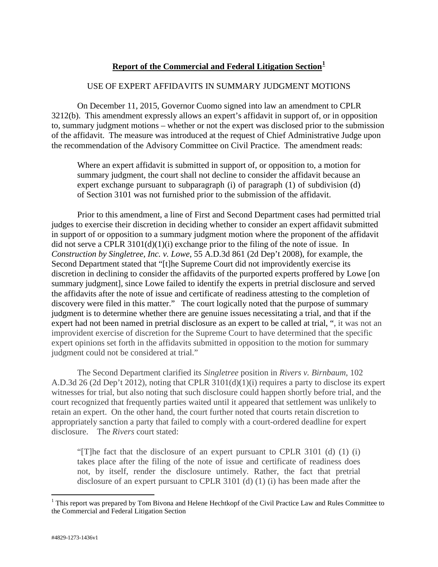## **Report of the Commercial and Federal Litigation Section[1](#page-0-0)**

## USE OF EXPERT AFFIDAVITS IN SUMMARY JUDGMENT MOTIONS

On December 11, 2015, Governor Cuomo signed into law an amendment to CPLR 3212(b). This amendment expressly allows an expert's affidavit in support of, or in opposition to, summary judgment motions – whether or not the expert was disclosed prior to the submission of the affidavit. The measure was introduced at the request of Chief Administrative Judge upon the recommendation of the Advisory Committee on Civil Practice. The amendment reads:

Where an expert affidavit is submitted in support of, or opposition to, a motion for summary judgment, the court shall not decline to consider the affidavit because an expert exchange pursuant to subparagraph (i) of paragraph (1) of subdivision (d) of Section 3101 was not furnished prior to the submission of the affidavit.

Prior to this amendment, a line of First and Second Department cases had permitted trial judges to exercise their discretion in deciding whether to consider an expert affidavit submitted in support of or opposition to a summary judgment motion where the proponent of the affidavit did not serve a CPLR  $3101(d)(1)(i)$  exchange prior to the filing of the note of issue. In *Construction by Singletree, Inc. v. Lowe*, 55 A.D.3d 861 (2d Dep't 2008), for example, the Second Department stated that "[t]he Supreme Court did not improvidently exercise its discretion in declining to consider the affidavits of the purported experts proffered by Lowe [on summary judgment], since Lowe failed to identify the experts in pretrial disclosure and served the affidavits after the note of issue and certificate of readiness attesting to the completion of discovery were filed in this matter." The court logically noted that the purpose of summary judgment is to determine whether there are genuine issues necessitating a trial, and that if the expert had not been named in pretrial disclosure as an expert to be called at trial, ", it was not an improvident exercise of discretion for the Supreme Court to have determined that the specific expert opinions set forth in the affidavits submitted in opposition to the motion for summary judgment could not be considered at trial."

The Second Department clarified its *Singletree* position in *Rivers v. Birnbaum*, 102 A.D.3d 26 (2d Dep't 2012), noting that CPLR 3101(d)(1)(i) requires a party to disclose its expert witnesses for trial, but also noting that such disclosure could happen shortly before trial, and the court recognized that frequently parties waited until it appeared that settlement was unlikely to retain an expert. On the other hand, the court further noted that courts retain discretion to appropriately sanction a party that failed to comply with a court-ordered deadline for expert disclosure. The *Rivers* court stated:

"[T]he fact that the disclosure of an expert pursuant to CPLR 3101 (d) (1) (i) takes place after the filing of the note of issue and certificate of readiness does not, by itself, render the disclosure untimely. Rather, the fact that pretrial disclosure of an expert pursuant to CPLR 3101 (d) (1) (i) has been made after the

<span id="page-0-0"></span><sup>&</sup>lt;sup>1</sup> This report was prepared by Tom Bivona and Helene Hechtkopf of the Civil Practice Law and Rules Committee to the Commercial and Federal Litigation Section